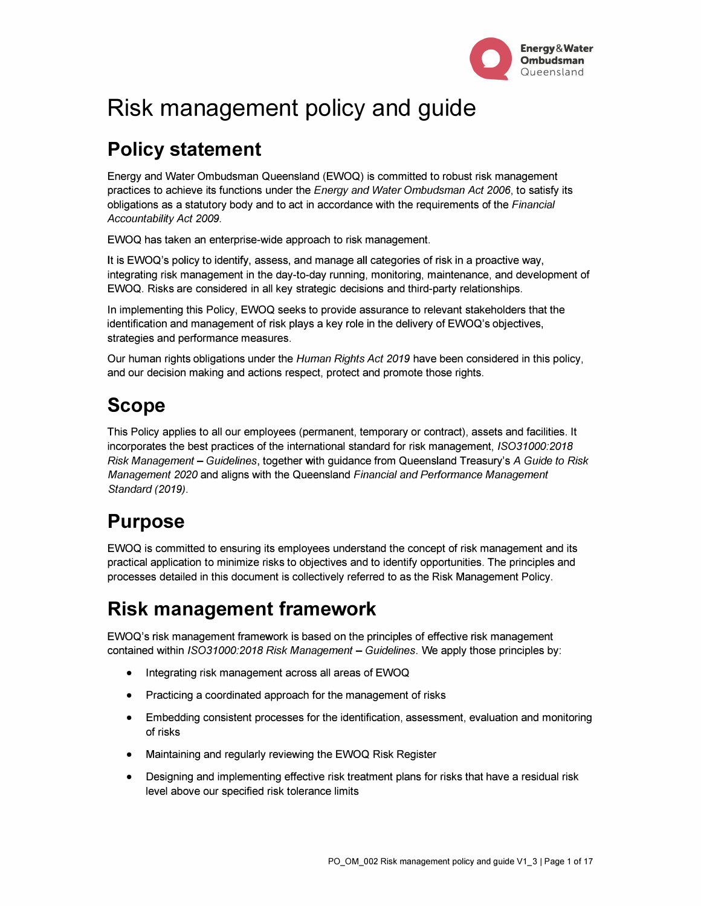

# **Risk management policy and guide**

## **Policy statement**

Energy and Water Ombudsman Queensland (EWOQ) is committed to robust risk management practices to achieve its functions under the *Energy and Water Ombudsman Act 2006,* to satisfy its obligations as a statutory body and to act in accordance with the requirements of the *Financial Accountability Act 2009.* 

EWOQ has taken an enterprise-wide approach to risk management.

It is EWOQ's policy to identify, assess, and manage all categories of risk in a proactive way, integrating risk management in the day-to-day running, monitoring, maintenance, and development of EWOQ. Risks are considered in all key strategic decisions and third-party relationships.

In implementing this Policy, EWOQ seeks to provide assurance to relevant stakeholders that the identification and management of risk plays a key role in the delivery of EWOQ's objectives, strategies and performance measures.

Our human rights obligations under the *Human Rights Act 2019* have been considered in this policy, and our decision making and actions respect, protect and promote those rights.

### **Scope**

This Policy applies to all our employees (permanent, temporary or contract), assets and facilities. It incorporates the best practices of the international standard for risk management, *ISO31000:2018 Risk Management* - *Guidelines,* together with guidance from Queensland Treasury's *A Guide to Risk Management 2020* and aligns with the Queensland *Financial and Performance Management Standard (2019).* 

# **Purpose**

EWOQ is committed to ensuring its employees understand the concept of risk management and its practical application to minimize risks to objectives and to identify opportunities. The principles and processes detailed in this document is collectively referred to as the Risk Management Policy.

### **Risk management framework**

EWOQ's risk management framework is based on the principles of effective risk management contained within *ISO31000:2018 Risk Management- Guidelines.* We apply those principles by:

- Integrating risk management across all areas of EWOQ
- Practicing a coordinated approach for the management of risks
- Embedding consistent processes for the identification, assessment, evaluation and monitoring of risks
- Maintaining and regularly reviewing the EWOQ Risk Register
- Designing and implementing effective risk treatment plans for risks that have a residual risk level above our specified risk tolerance limits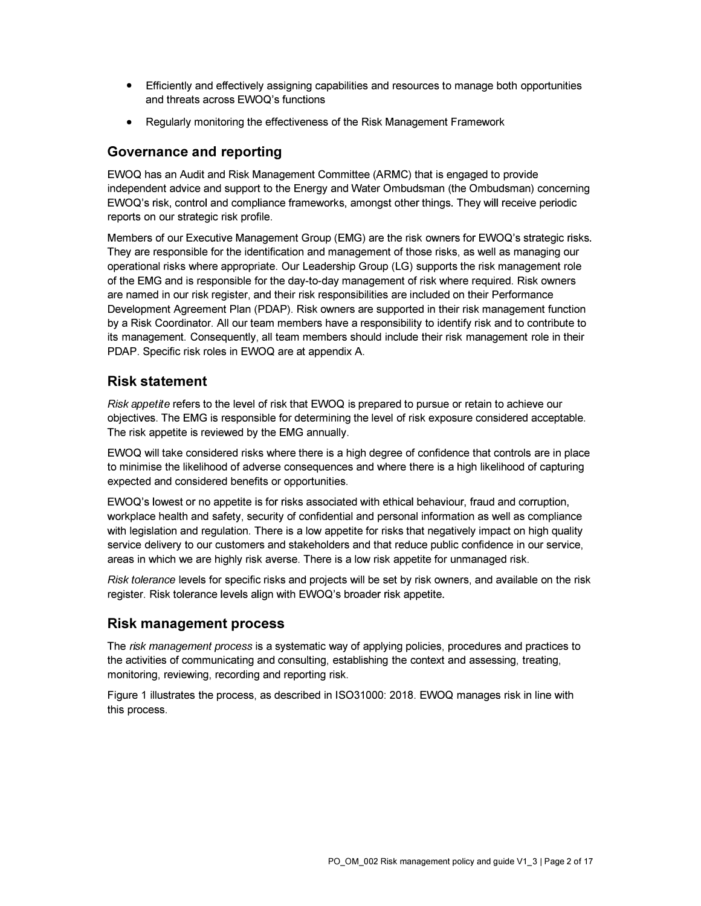- Efficiently and effectively assigning capabilities and resources to manage both opportunities and threats across EWOQ's functions
- Regularly monitoring the effectiveness of the Risk Management Framework

### **Governance and reporting**

EWOQ has an Audit and Risk Management Committee (ARMC) that is engaged to provide independent advice and support to the Energy and Water Ombudsman (the Ombudsman) concerning EWOQ's risk, control and compliance frameworks, amongst other things. They will receive periodic reports on our strategic risk profile.

Members of our Executive Management Group (EMG) are the risk owners for EWOQ's strategic risks. They are responsible for the identification and management of those risks, as well as managing our operational risks where appropriate. Our Leadership Group (LG) supports the risk management role of the EMG and is responsible for the day-to-day management of risk where required. Risk owners are named in our risk register, and their risk responsibilities are included on their Performance Development Agreement Plan (PDAP). Risk owners are supported in their risk management function by a Risk Coordinator. All our team members have a responsibility to identify risk and to contribute to its management. Consequently, all team members should include their risk management role in their PDAP. Specific risk roles in EWOQ are at appendix A.

### **Risk statement**

*Risk appetite* refers to the level of risk that EWOQ is prepared to pursue or retain to achieve our objectives. The EMG is responsible for determining the level of risk exposure considered acceptable. The risk appetite is reviewed by the EMG annually.

EWOQ will take considered risks where there is a high degree of confidence that controls are in place to minimise the likelihood of adverse consequences and where there is a high likelihood of capturing expected and considered benefits or opportunities.

EWOQ's lowest or no appetite is for risks associated with ethical behaviour, fraud and corruption, workplace health and safety, security of confidential and personal information as well as compliance with legislation and regulation. There is a low appetite for risks that negatively impact on high quality service delivery to our customers and stakeholders and that reduce public confidence in our service, areas in which we are highly risk averse. There is a low risk appetite for unmanaged risk.

*Risk tolerance* levels for specific risks and projects will be set by risk owners, and available on the risk register. Risk tolerance levels align with EWOQ's broader risk appetite.

### **Risk management process**

The *risk management process* is a systematic way of applying policies, procedures and practices to the activities of communicating and consulting, establishing the context and assessing, treating, monitoring, reviewing, recording and reporting risk.

Figure 1 illustrates the process, as described in ISO31000: 2018. EWOQ manages risk in line with this process.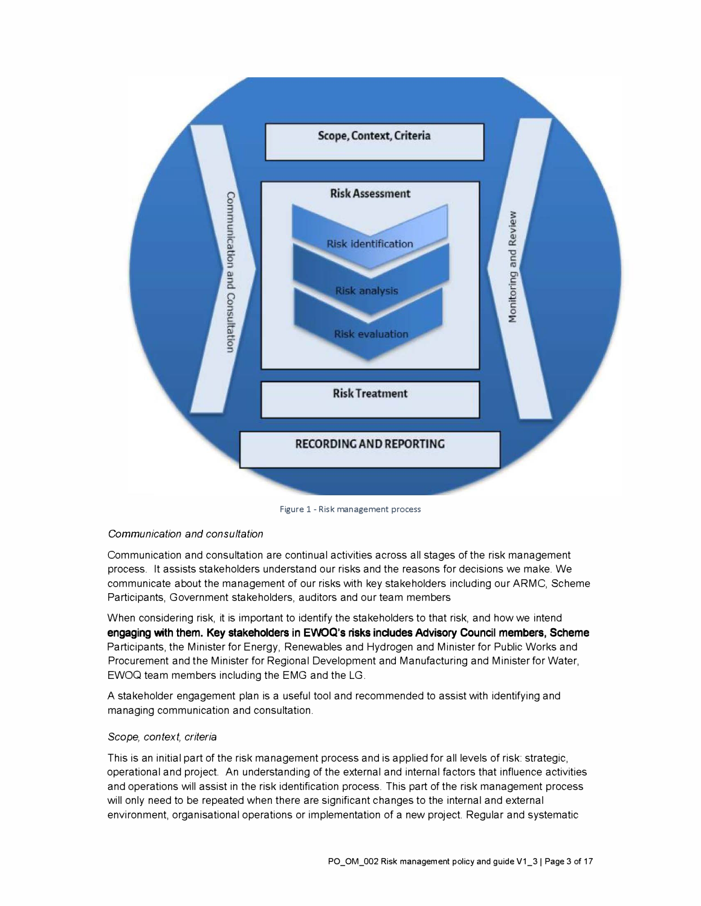

Figure 1 - Risk management process

#### *Communication and consultation*

Communication and consultation are continual activities across all stages of the risk management process. It assists stakeholders understand our risks and the reasons for decisions we make. We communicate about the management of our risks with key stakeholders including our ARMC, Scheme Participants, Government stakeholders, auditors and our team members

When considering risk, it is important to identify the stakeholders to that risk, and how we intend **engaging with them. Key stakeholders in EWOQ's risks indudes Advisory Council members, Scheme**  Participants, the Minister for Energy, Renewables and Hydrogen and Minister for Public Works and Procurement and the Minister for Regional Development and Manufacturing and Minister for Water, EWOQ team members including the EMG and the LG.

A stakeholder engagement plan is a useful tool and recommended to assist with identifying and managing communication and consultation.

#### *Scope, context, criteria*

This is an initial part of the risk management process and is applied for all levels of risk: strategic, operational and project. An understanding of the external and internal factors that influence activities and operations will assist in the risk identification process. This part of the risk management process will only need to be repeated when there are significant changes to the internal and external environment, organisational operations or implementation of a new project. Regular and systematic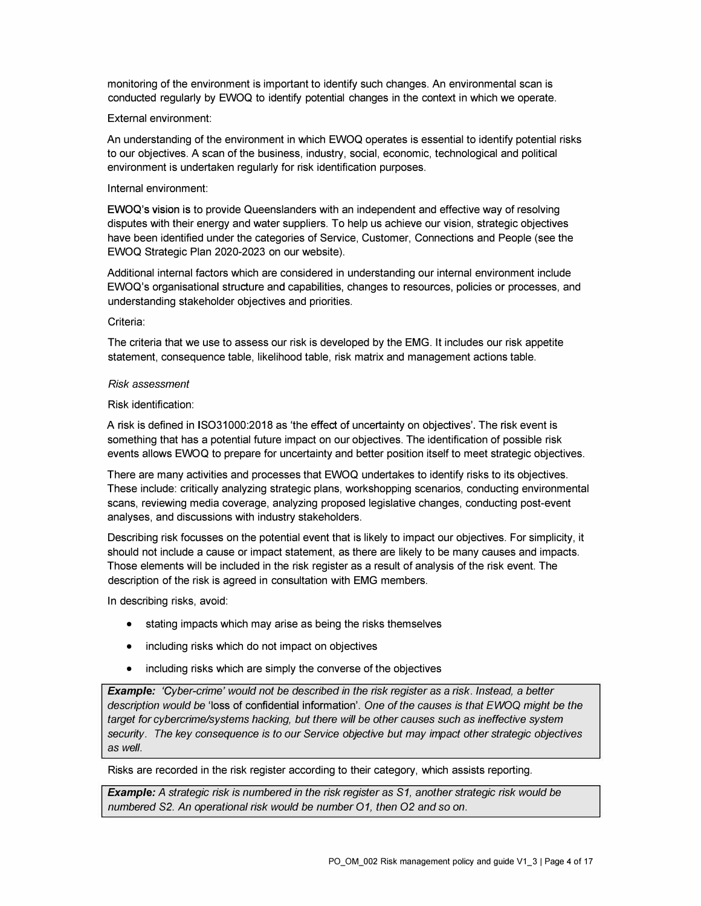monitoring of the environment is important to identify such changes. An environmental scan is conducted regularly by EWOQ to identify potential changes in the context in which we operate.

#### External environment:

An understanding of the environment in which EWOQ operates is essential to identify potential risks to our objectives. A scan of the business, industry, social, economic, technological and political environment is undertaken regularly for risk identification purposes.

#### Internal environment:

**EWOQ's vision is** to provide Queenslanders with an independent and effective way of resolving disputes with their energy and water suppliers. To help us achieve our vision, strategic objectives have been identified under the categories of Service, Customer, Connections and People (see the EWOQ Strategic Plan 2020-2023 on our website).

Additional internal factors which are considered in understanding our internal environment include EWOQ's organisational structure and capabilities, changes to resources, policies or processes, and understanding stakeholder objectives and priorities.

#### Criteria:

The criteria that we use to assess our risk is developed by the EMG. It includes our risk appetite statement, consequence table, likelihood table, risk matrix and management actions table.

#### *Risk assessment*

#### Risk identification:

A risk is defined in ISO31000:2018 as 'the effect of uncertainty on objectives'. The risk event is something that has a potential future impact on our objectives. The identification of possible risk events allows EWOQ to prepare for uncertainty and better position itself to meet strategic objectives.

There are many activities and processes that EWOQ undertakes to identify risks to its objectives. These include: critically analyzing strategic plans, workshopping scenarios, conducting environmental scans, reviewing media coverage, analyzing proposed legislative changes, conducting post-event analyses, and discussions with industry stakeholders.

Describing risk focusses on the potential event that is likely to impact our objectives. For simplicity, it should not include a cause or impact statement, as there are likely to be many causes and impacts. Those elements will be included in the risk register as a result of analysis of the risk event. The description of the risk is agreed in consultation with EMG members.

In describing risks, avoid:

- stating impacts which may arise as being the risks themselves
- including risks which do not impact on objectives
- including risks which are simply the converse of the objectives

*Example: 'Cyber-crime' would not be described in the risk register as a risk. Instead, a better description would be* 'loss of confidential information'. *One of the causes is that EWOQ might be the target for cybercrimelsystems hacking, but there will be other causes such as ineffective system security. The key consequence is to our Service objective but may impact other strategic objectives as well.* 

Risks are recorded in the risk register according to their category, which assists reporting.

*Example: A strategic risk is numbered in the risk register as* S1, *another strategic risk would be numbered* S2. *An operational risk would be number 01, then 02 and so on.*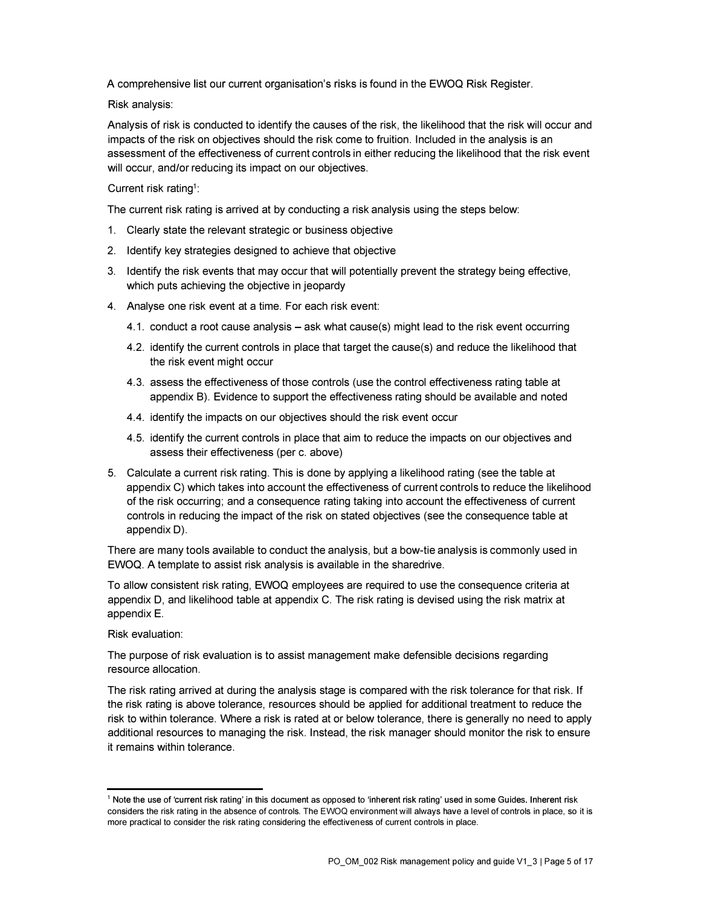A comprehensive list our current organisation's risks is found in the EWOQ Risk Register.

Risk analysis:

Analysis of risk is conducted to identify the causes of the risk, the likelihood that the risk will occur and impacts of the risk on objectives should the risk come to fruition. Included in the analysis is an assessment of the effectiveness of current controls in either reducing the likelihood that the risk event will occur, and/or reducing its impact on our objectives.

#### Current risk rating<sup>1</sup>:

The current risk rating is arrived at by conducting a risk analysis using the steps below:

- 1. Clearly state the relevant strategic or business objective
- 2. Identify key strategies designed to achieve that objective
- 3. Identify the risk events that may occur that will potentially prevent the strategy being effective, which puts achieving the objective in jeopardy
- 4. Analyse one risk event at a time. For each risk event:
	- 4.1. conduct a root cause analysis ask what cause(s) might lead to the risk event occurring
	- 4.2. identify the current controls in place that target the cause(s) and reduce the likelihood that the risk event might occur
	- 4.3. assess the effectiveness of those controls (use the control effectiveness rating table at appendix B). Evidence to support the effectiveness rating should be available and noted
	- 4.4. identify the impacts on our objectives should the risk event occur
	- 4.5. identify the current controls in place that aim to reduce the impacts on our objectives and assess their effectiveness (per c. above)
- 5. Calculate a current risk rating. This is done by applying a likelihood rating (see the table at appendix C) which takes into account the effectiveness of current controls to reduce the likelihood of the risk occurring; and a consequence rating taking into account the effectiveness of current controls in reducing the impact of the risk on stated objectives (see the consequence table at appendix D).

There are many tools available to conduct the analysis, but a bow-tie analysis is commonly used in EWOQ. A template to assist risk analysis is available in the sharedrive.

To allow consistent risk rating, EWOQ employees are required to use the consequence criteria at appendix D, and likelihood table at appendix C. The risk rating is devised using the risk matrix at appendix E.

#### Risk evaluation:

The purpose of risk evaluation is to assist management make defensible decisions regarding resource allocation.

The risk rating arrived at during the analysis stage is compared with the risk tolerance for that risk. If the risk rating is above tolerance, resources should be applied for additional treatment to reduce the risk to within tolerance. Where a risk is rated at or below tolerance, there is generally no need to apply additional resources to managing the risk. Instead, the risk manager should monitor the risk to ensure it remains within tolerance.

<sup>1</sup> Note the use of 'current risk rating' in this document as opposed to 'inherent risk rating' used in some Guides. Inherent risk considers the risk rating in the absence of controls. The EWOQ environment will always have a level of controls in place, so ii is more practical to consider the risk rating considering the effectiveness of current controls in place.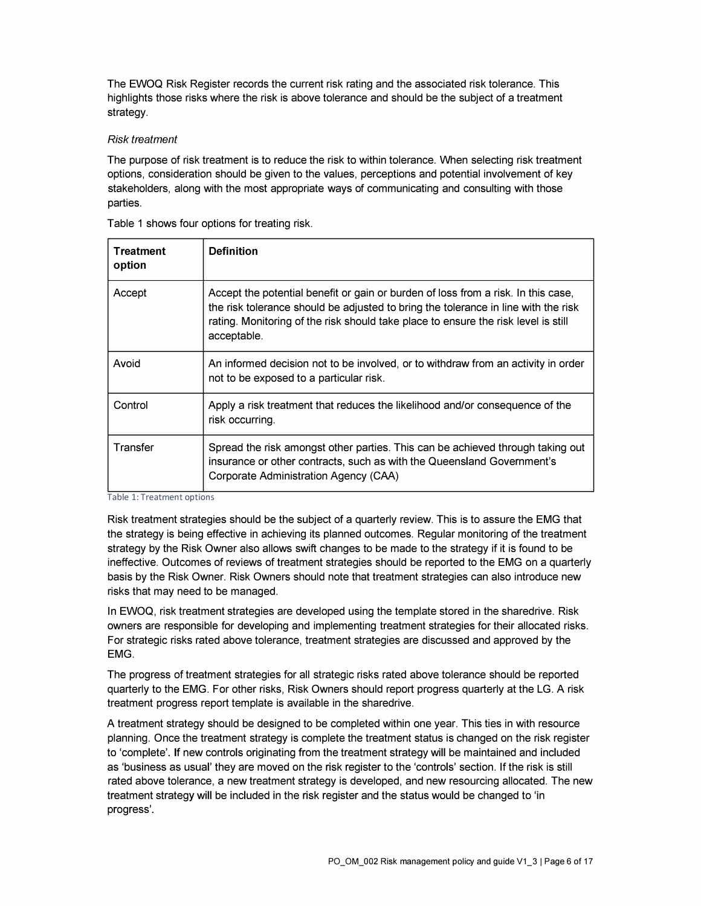The EWOQ Risk Register records the current risk rating and the associated risk tolerance. This highlights those risks where the risk is above tolerance and should be the subject of a treatment strategy.

#### *Risk treatment*

The purpose of risk treatment is to reduce the risk to within tolerance. When selecting risk treatment options, consideration should be given to the values, perceptions and potential involvement of key stakeholders, along with the most appropriate ways of communicating and consulting with those parties.

| <b>Treatment</b><br>option | <b>Definition</b>                                                                                                                                                                                                                                                            |
|----------------------------|------------------------------------------------------------------------------------------------------------------------------------------------------------------------------------------------------------------------------------------------------------------------------|
| Accept                     | Accept the potential benefit or gain or burden of loss from a risk. In this case,<br>the risk tolerance should be adjusted to bring the tolerance in line with the risk<br>rating. Monitoring of the risk should take place to ensure the risk level is still<br>acceptable. |
| Avoid                      | An informed decision not to be involved, or to withdraw from an activity in order<br>not to be exposed to a particular risk.                                                                                                                                                 |
| Control                    | Apply a risk treatment that reduces the likelihood and/or consequence of the<br>risk occurring.                                                                                                                                                                              |
| Transfer                   | Spread the risk amongst other parties. This can be achieved through taking out<br>insurance or other contracts, such as with the Queensland Government's<br>Corporate Administration Agency (CAA)                                                                            |

Table 1 shows four options for treating risk.

Table 1: Treatment options

Risk treatment strategies should be the subject of a quarterly review. This is to assure the EMG that the strategy is being effective in achieving its planned outcomes. Regular monitoring of the treatment strategy by the Risk Owner also allows swift changes to be made to the strategy if it is found to be ineffective. Outcomes of reviews of treatment strategies should be reported to the EMG on a quarterly basis by the Risk Owner. Risk Owners should note that treatment strategies can also introduce new risks that may need to be managed.

In EWOQ, risk treatment strategies are developed using the template stored in the sharedrive. Risk owners are responsible for developing and implementing treatment strategies for their allocated risks. For strategic risks rated above tolerance, treatment strategies are discussed and approved by the EMG.

The progress of treatment strategies for all strategic risks rated above tolerance should be reported quarterly to the EMG. For other risks, Risk Owners should report progress quarterly at the LG. A risk treatment progress report template is available in the sharedrive.

A treatment strategy should be designed to be completed within one year. This ties in with resource planning. Once the treatment strategy is complete the treatment status is changed on the risk register to 'complete'. If new controls originating from the treatment strategy will be maintained and included as 'business as usual' they are moved on the risk register to the 'controls' section. If the risk is still rated above tolerance, a new treatment strategy is developed, and new resourcing allocated. The new treatment strategy will be included in the risk register and the status would be changed to 'in progress'.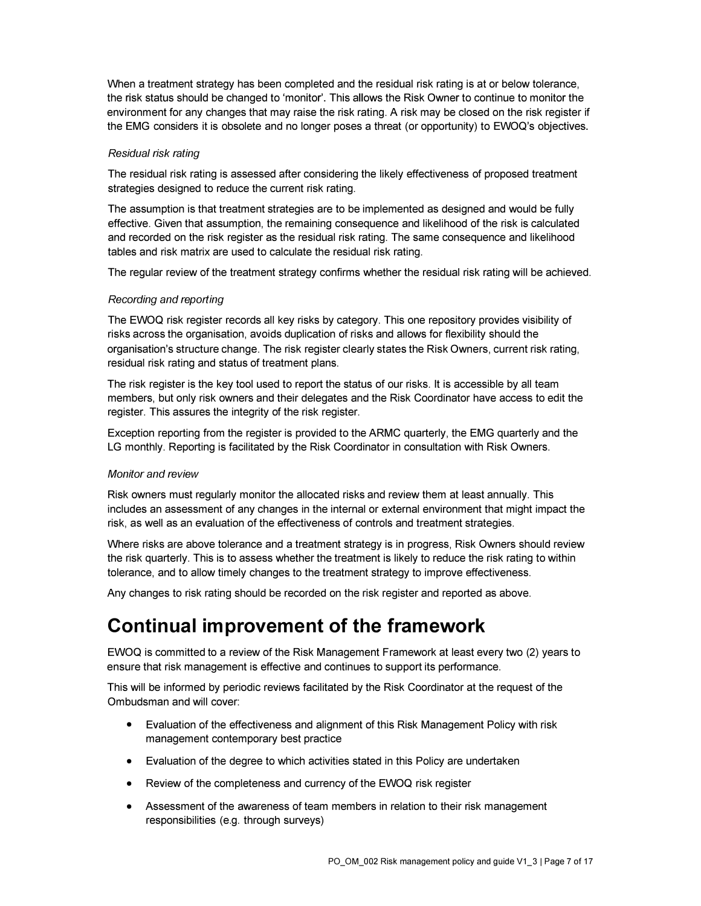When a treatment strategy has been completed and the residual risk rating is at or below tolerance, the risk status should be changed to 'monitor'. This allows the Risk Owner to continue to monitor the environment for any changes that may raise the risk rating. A risk may be closed on the risk register if the EMG considers it is obsolete and no longer poses a threat ( or opportunity) to EWOQ's objectives.

#### *Residual risk rating*

The residual risk rating is assessed after considering the likely effectiveness of proposed treatment strategies designed to reduce the current risk rating.

The assumption is that treatment strategies are to be implemented as designed and would be fully effective. Given that assumption, the remaining consequence and likelihood of the risk is calculated and recorded on the risk register as the residual risk rating. The same consequence and likelihood tables and risk matrix are used to calculate the residual risk rating.

The regular review of the treatment strategy confirms whether the residual risk rating will be achieved.

#### *Recording and reporting*

The EWOQ risk register records all key risks by category. This one repository provides visibility of risks across the organisation, avoids duplication of risks and allows for flexibility should the organisation's structure change. The risk register clearly states the Risk Owners, current risk rating, residual risk rating and status of treatment plans.

The risk register is the key tool used to report the status of our risks. It is accessible by all team members, but only risk owners and their delegates and the Risk Coordinator have access to edit the register. This assures the integrity of the risk register.

Exception reporting from the register is provided to the ARMC quarterly, the EMG quarterly and the LG monthly. Reporting is facilitated by the Risk Coordinator in consultation with Risk Owners.

#### *Monitor and review*

Risk owners must regularly monitor the allocated risks and review them at least annually. This includes an assessment of any changes in the internal or external environment that might impact the risk, as well as an evaluation of the effectiveness of controls and treatment strategies.

Where risks are above tolerance and a treatment strategy is in progress, Risk Owners should review the risk quarterly. This is to assess whether the treatment is likely to reduce the risk rating to within tolerance, and to allow timely changes to the treatment strategy to improve effectiveness.

Any changes to risk rating should be recorded on the risk register and reported as above.

### **Continual improvement of the framework**

EWOQ is committed to a review of the Risk Management Framework at least every two (2) years to ensure that risk management is effective and continues to support its performance.

This will be informed by periodic reviews facilitated by the Risk Coordinator at the request of the Ombudsman and will cover:

- Evaluation of the effectiveness and alignment of this Risk Management Policy with risk management contemporary best practice
- Evaluation of the degree to which activities stated in this Policy are undertaken
- Review of the completeness and currency of the EWOQ risk register
- Assessment of the awareness of team members in relation to their risk management responsibilities (e.g. through surveys)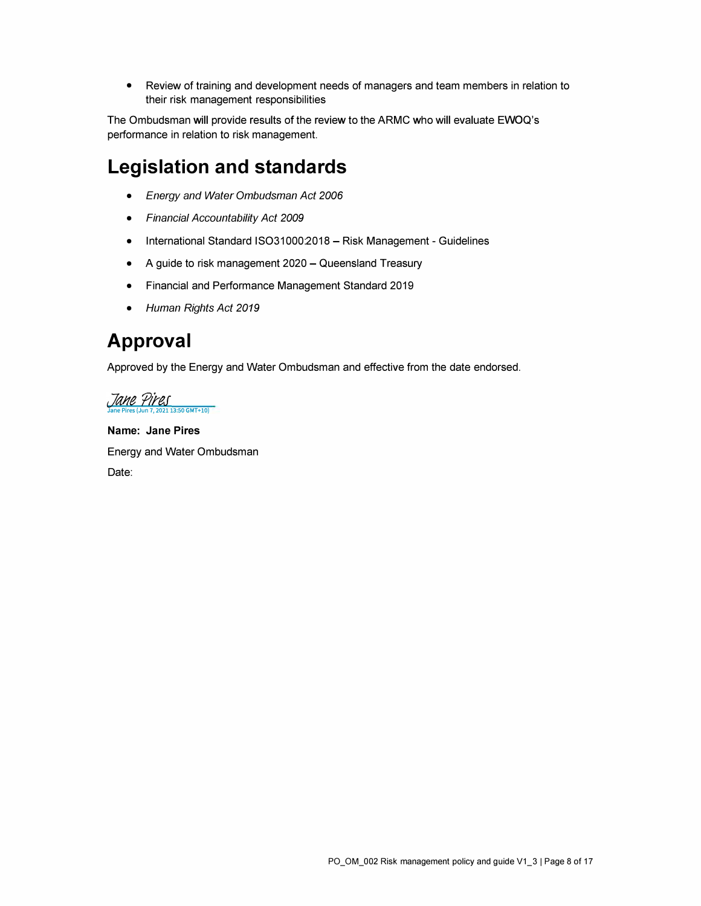• Review of training and development needs of managers and team members in relation to their risk management responsibilities

The Ombudsman will provide results of the review to the ARMC who will evaluate EWOQ's performance in relation to risk management.

### **Legislation and standards**

- *Energy and Water Ombudsman Act 2006*
- *Financial Accountability Act 2009*
- International Standard ISO31000:2018 Risk Management Guidelines
- A guide to risk management 2020 Queensland Treasury
- Financial and Performance Management Standard 2019
- *Human Rights Act 2019*

### **Approval**

Approved by the Energy and Water Ombudsman and effective from the date endorsed.

Jane Pires  $13:50$  GMT+10)

**Name: Jane Pires**  Energy and Water Ombudsman Date: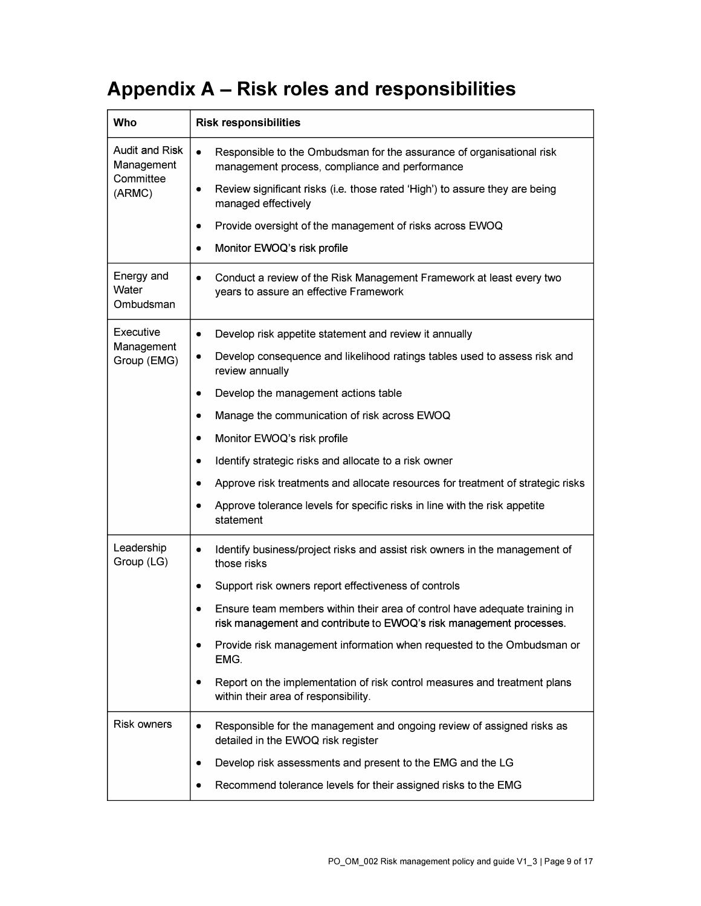# **Appendix A - Risk roles and responsibilities**

| Who                              | <b>Risk responsibilities</b>                                                                                                                      |
|----------------------------------|---------------------------------------------------------------------------------------------------------------------------------------------------|
| Audit and Risk<br>Management     | Responsible to the Ombudsman for the assurance of organisational risk<br>$\bullet$<br>management process, compliance and performance              |
| Committee<br>(ARMC)              | Review significant risks (i.e. those rated 'High') to assure they are being<br>$\bullet$<br>managed effectively                                   |
|                                  | Provide oversight of the management of risks across EWOQ<br>$\bullet$                                                                             |
|                                  | Monitor EWOQ's risk profile<br>$\bullet$                                                                                                          |
| Energy and<br>Water<br>Ombudsman | Conduct a review of the Risk Management Framework at least every two<br>$\bullet$<br>years to assure an effective Framework                       |
| Executive                        | Develop risk appetite statement and review it annually<br>$\bullet$                                                                               |
| Management<br>Group (EMG)        | Develop consequence and likelihood ratings tables used to assess risk and<br>$\bullet$<br>review annually                                         |
|                                  | Develop the management actions table<br>$\bullet$                                                                                                 |
|                                  | Manage the communication of risk across EWOQ<br>$\bullet$                                                                                         |
|                                  | Monitor EWOQ's risk profile<br>٠                                                                                                                  |
|                                  | Identify strategic risks and allocate to a risk owner<br>$\bullet$                                                                                |
|                                  | Approve risk treatments and allocate resources for treatment of strategic risks<br>$\bullet$                                                      |
|                                  | Approve tolerance levels for specific risks in line with the risk appetite<br>statement                                                           |
| Leadership<br>Group (LG)         | Identify business/project risks and assist risk owners in the management of<br>$\bullet$<br>those risks                                           |
|                                  | Support risk owners report effectiveness of controls<br>٠                                                                                         |
|                                  | Ensure team members within their area of control have adequate training in<br>risk management and contribute to EWOQ's risk management processes. |
|                                  | Provide risk management information when requested to the Ombudsman or<br>EMG.                                                                    |
|                                  | Report on the implementation of risk control measures and treatment plans<br>$\bullet$<br>within their area of responsibility.                    |
| Risk owners                      | Responsible for the management and ongoing review of assigned risks as<br>$\bullet$<br>detailed in the EWOQ risk register                         |
|                                  | Develop risk assessments and present to the EMG and the LG<br>$\bullet$                                                                           |
|                                  | Recommend tolerance levels for their assigned risks to the EMG<br>$\bullet$                                                                       |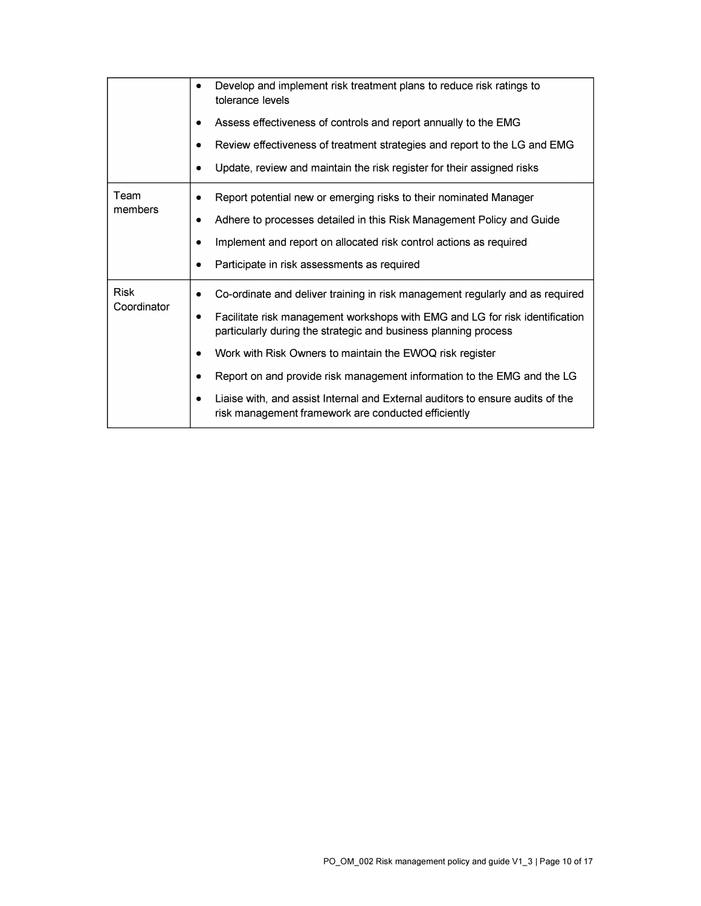|                            | Develop and implement risk treatment plans to reduce risk ratings to<br>tolerance levels                                                        |
|----------------------------|-------------------------------------------------------------------------------------------------------------------------------------------------|
|                            | Assess effectiveness of controls and report annually to the EMG                                                                                 |
|                            | Review effectiveness of treatment strategies and report to the LG and EMG                                                                       |
|                            | Update, review and maintain the risk register for their assigned risks                                                                          |
| Team<br>members            | Report potential new or emerging risks to their nominated Manager                                                                               |
|                            | Adhere to processes detailed in this Risk Management Policy and Guide<br>٠                                                                      |
|                            | Implement and report on allocated risk control actions as required                                                                              |
|                            | Participate in risk assessments as required<br>٠                                                                                                |
| <b>Risk</b><br>Coordinator | Co-ordinate and deliver training in risk management regularly and as required                                                                   |
|                            | Facilitate risk management workshops with EMG and LG for risk identification<br>particularly during the strategic and business planning process |
|                            | Work with Risk Owners to maintain the EWOQ risk register                                                                                        |
|                            | Report on and provide risk management information to the EMG and the LG                                                                         |
|                            | Liaise with, and assist Internal and External auditors to ensure audits of the<br>٠<br>risk management framework are conducted efficiently      |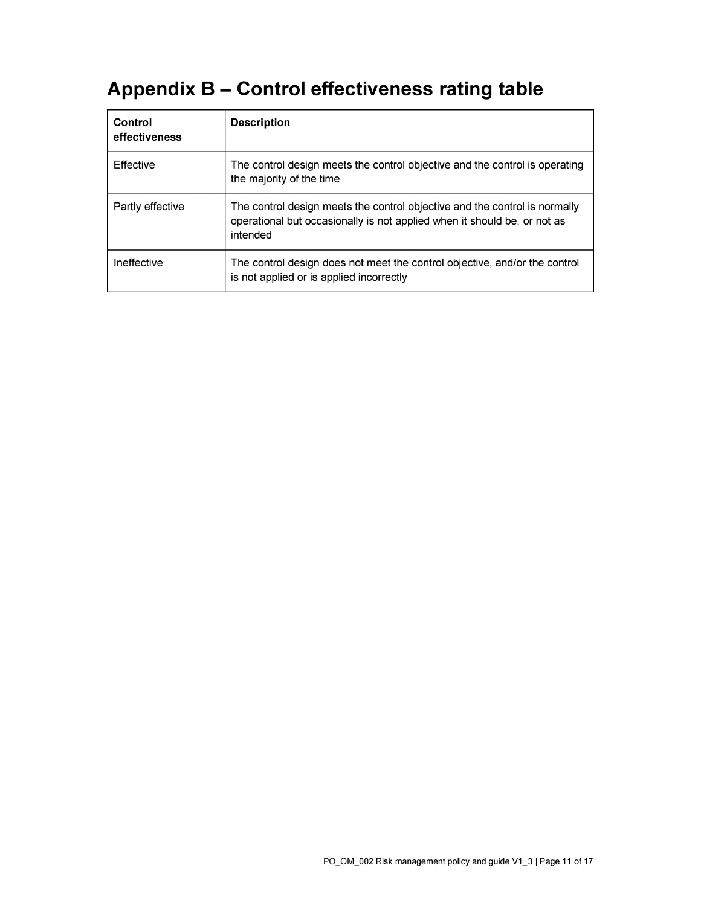# **Appendix B - Control effectiveness rating table**

| Control<br>effectiveness | <b>Description</b>                                                                                                                                                 |
|--------------------------|--------------------------------------------------------------------------------------------------------------------------------------------------------------------|
| Effective                | The control design meets the control objective and the control is operating<br>the majority of the time                                                            |
| Partly effective         | The control design meets the control objective and the control is normally<br>operational but occasionally is not applied when it should be, or not as<br>intended |
| Ineffective              | The control design does not meet the control objective, and/or the control<br>is not applied or is applied incorrectly                                             |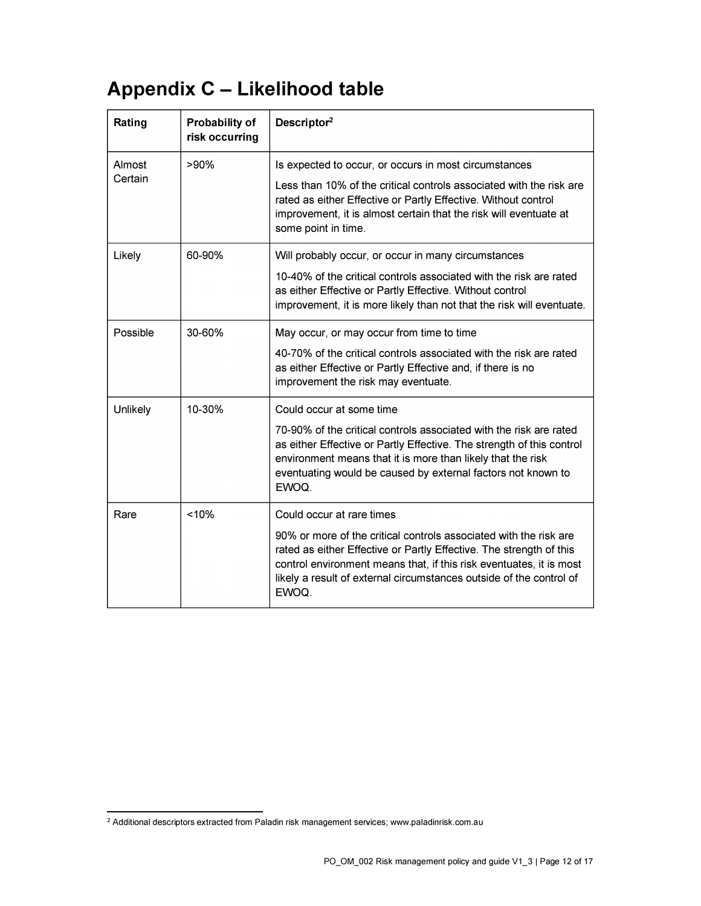# **Appendix C - Likelihood table**

| Rating   | <b>Probability of</b><br>risk occurring | Descriptor <sup>2</sup>                                                                                                                                                                                                                                                                         |
|----------|-----------------------------------------|-------------------------------------------------------------------------------------------------------------------------------------------------------------------------------------------------------------------------------------------------------------------------------------------------|
| Almost   | >90%                                    | Is expected to occur, or occurs in most circumstances                                                                                                                                                                                                                                           |
| Certain  |                                         | Less than 10% of the critical controls associated with the risk are<br>rated as either Effective or Partly Effective. Without control<br>improvement, it is almost certain that the risk will eventuate at<br>some point in time.                                                               |
| Likely   | 60-90%                                  | Will probably occur, or occur in many circumstances                                                                                                                                                                                                                                             |
|          |                                         | 10-40% of the critical controls associated with the risk are rated<br>as either Effective or Partly Effective. Without control<br>improvement, it is more likely than not that the risk will eventuate.                                                                                         |
| Possible | 30-60%                                  | May occur, or may occur from time to time                                                                                                                                                                                                                                                       |
|          |                                         | 40-70% of the critical controls associated with the risk are rated<br>as either Effective or Partly Effective and, if there is no<br>improvement the risk may eventuate.                                                                                                                        |
| Unlikely | 10-30%                                  | Could occur at some time                                                                                                                                                                                                                                                                        |
|          |                                         | 70-90% of the critical controls associated with the risk are rated<br>as either Effective or Partly Effective. The strength of this control<br>environment means that it is more than likely that the risk<br>eventuating would be caused by external factors not known to<br>EWOQ.             |
| Rare     | < 10%                                   | Could occur at rare times                                                                                                                                                                                                                                                                       |
|          |                                         | 90% or more of the critical controls associated with the risk are<br>rated as either Effective or Partly Effective. The strength of this<br>control environment means that, if this risk eventuates, it is most<br>likely a result of external circumstances outside of the control of<br>EWOQ. |

<sup>&</sup>lt;sup>2</sup> Additional descriptors extracted from Paladin risk management services; <www.paladinrisk.com.au>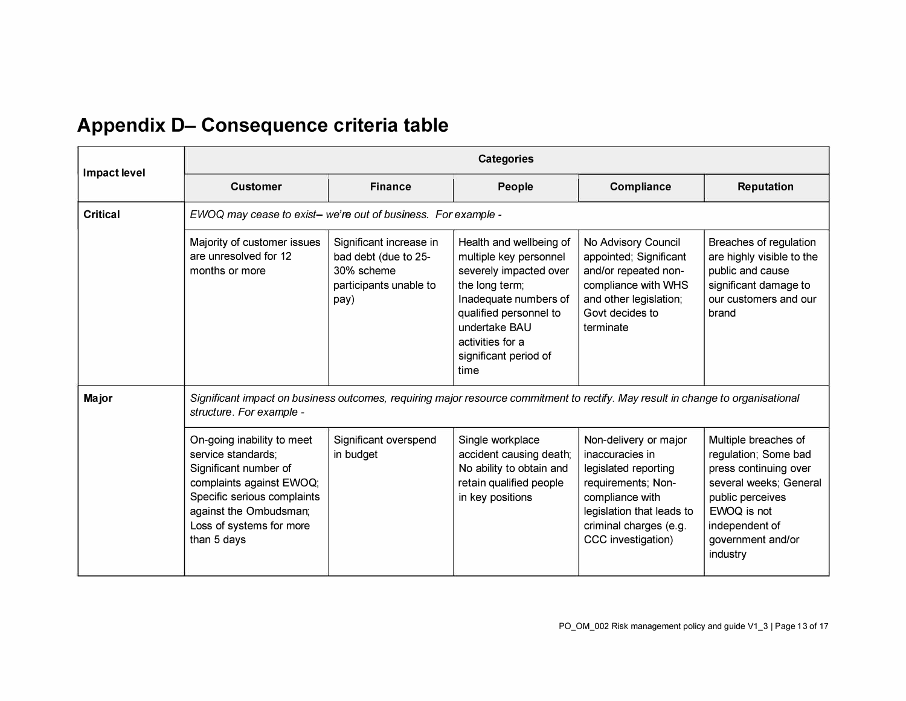# **Appendix D- Consequence criteria table**

|                 | <b>Categories</b>                                                                                                                                                                                         |                                                                                                 |                                                                                                                                                                                                                        |                                                                                                                                                                                        |                                                                                                                                                                                       |
|-----------------|-----------------------------------------------------------------------------------------------------------------------------------------------------------------------------------------------------------|-------------------------------------------------------------------------------------------------|------------------------------------------------------------------------------------------------------------------------------------------------------------------------------------------------------------------------|----------------------------------------------------------------------------------------------------------------------------------------------------------------------------------------|---------------------------------------------------------------------------------------------------------------------------------------------------------------------------------------|
| Impact level    | <b>Customer</b>                                                                                                                                                                                           | <b>Finance</b>                                                                                  | People                                                                                                                                                                                                                 | <b>Compliance</b>                                                                                                                                                                      | <b>Reputation</b>                                                                                                                                                                     |
| <b>Critical</b> | EWOQ may cease to exist- we're out of business. For example -                                                                                                                                             |                                                                                                 |                                                                                                                                                                                                                        |                                                                                                                                                                                        |                                                                                                                                                                                       |
|                 | Majority of customer issues<br>are unresolved for 12<br>months or more                                                                                                                                    | Significant increase in<br>bad debt (due to 25-<br>30% scheme<br>participants unable to<br>pay) | Health and wellbeing of<br>multiple key personnel<br>severely impacted over<br>the long term;<br>Inadequate numbers of<br>qualified personnel to<br>undertake BAU<br>activities for a<br>significant period of<br>time | No Advisory Council<br>appointed; Significant<br>and/or repeated non-<br>compliance with WHS<br>and other legislation;<br>Govt decides to<br>terminate                                 | Breaches of regulation<br>are highly visible to the<br>public and cause<br>significant damage to<br>our customers and our<br>brand                                                    |
| Major           | Significant impact on business outcomes, requiring major resource commitment to rectify. May result in change to organisational<br>structure. For example -                                               |                                                                                                 |                                                                                                                                                                                                                        |                                                                                                                                                                                        |                                                                                                                                                                                       |
|                 | On-going inability to meet<br>service standards;<br>Significant number of<br>complaints against EWOQ;<br>Specific serious complaints<br>against the Ombudsman;<br>Loss of systems for more<br>than 5 days | Significant overspend<br>in budget                                                              | Single workplace<br>accident causing death;<br>No ability to obtain and<br>retain qualified people<br>in key positions                                                                                                 | Non-delivery or major<br>inaccuracies in<br>legislated reporting<br>requirements; Non-<br>compliance with<br>legislation that leads to<br>criminal charges (e.g.<br>CCC investigation) | Multiple breaches of<br>regulation; Some bad<br>press continuing over<br>several weeks; General<br>public perceives<br>EWOQ is not<br>independent of<br>government and/or<br>industry |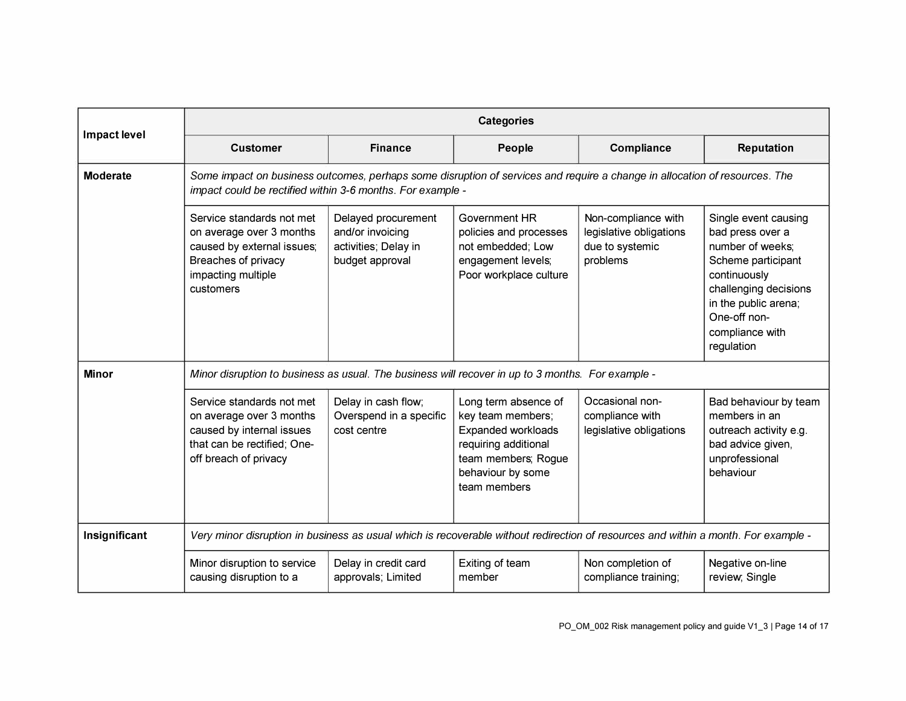|                     | <b>Categories</b>                                                                                                                                                                        |                                                                                    |                                                                                                                                                            |                                                                               |                                                                                                                                                                                                      |
|---------------------|------------------------------------------------------------------------------------------------------------------------------------------------------------------------------------------|------------------------------------------------------------------------------------|------------------------------------------------------------------------------------------------------------------------------------------------------------|-------------------------------------------------------------------------------|------------------------------------------------------------------------------------------------------------------------------------------------------------------------------------------------------|
| <b>Impact level</b> | <b>Customer</b>                                                                                                                                                                          | <b>Finance</b>                                                                     | People                                                                                                                                                     | <b>Compliance</b>                                                             | <b>Reputation</b>                                                                                                                                                                                    |
| <b>Moderate</b>     | Some impact on business outcomes, perhaps some disruption of services and require a change in allocation of resources. The<br>impact could be rectified within 3-6 months. For example - |                                                                                    |                                                                                                                                                            |                                                                               |                                                                                                                                                                                                      |
|                     | Service standards not met<br>on average over 3 months<br>caused by external issues;<br>Breaches of privacy<br>impacting multiple<br>customers                                            | Delayed procurement<br>and/or invoicing<br>activities; Delay in<br>budget approval | Government HR<br>policies and processes<br>not embedded; Low<br>engagement levels;<br>Poor workplace culture                                               | Non-compliance with<br>legislative obligations<br>due to systemic<br>problems | Single event causing<br>bad press over a<br>number of weeks;<br>Scheme participant<br>continuously<br>challenging decisions<br>in the public arena;<br>One-off non-<br>compliance with<br>regulation |
| <b>Minor</b>        | Minor disruption to business as usual. The business will recover in up to 3 months. For example -                                                                                        |                                                                                    |                                                                                                                                                            |                                                                               |                                                                                                                                                                                                      |
|                     | Service standards not met<br>on average over 3 months<br>caused by internal issues<br>that can be rectified; One-<br>off breach of privacy                                               | Delay in cash flow;<br>Overspend in a specific<br>cost centre                      | Long term absence of<br>key team members;<br><b>Expanded workloads</b><br>requiring additional<br>team members; Rogue<br>behaviour by some<br>team members | Occasional non-<br>compliance with<br>legislative obligations                 | Bad behaviour by team<br>members in an<br>outreach activity e.g.<br>bad advice given,<br>unprofessional<br>behaviour                                                                                 |
| Insignificant       | Very minor disruption in business as usual which is recoverable without redirection of resources and within a month. For example -                                                       |                                                                                    |                                                                                                                                                            |                                                                               |                                                                                                                                                                                                      |
|                     | Minor disruption to service<br>causing disruption to a                                                                                                                                   | Delay in credit card<br>approvals; Limited                                         | Exiting of team<br>member                                                                                                                                  | Non completion of<br>compliance training;                                     | Negative on-line<br>review, Single                                                                                                                                                                   |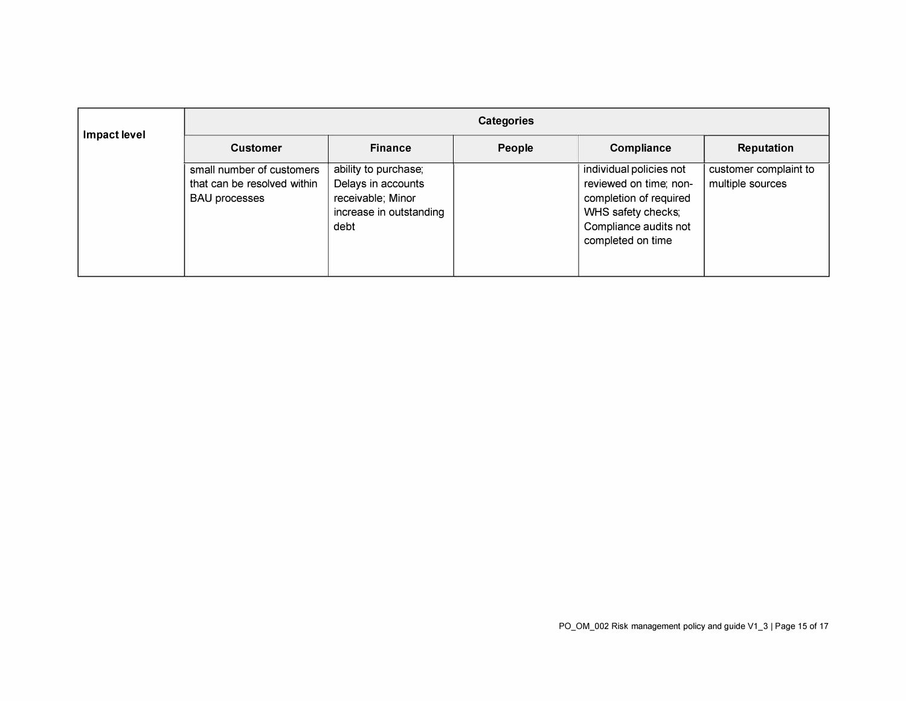| Impact level | <b>Categories</b>                                                                |                                                                                                    |        |                                                                                                                                                 |                                           |
|--------------|----------------------------------------------------------------------------------|----------------------------------------------------------------------------------------------------|--------|-------------------------------------------------------------------------------------------------------------------------------------------------|-------------------------------------------|
|              | <b>Customer</b>                                                                  | <b>Finance</b>                                                                                     | People | <b>Compliance</b>                                                                                                                               | <b>Reputation</b>                         |
|              | small number of customers<br>that can be resolved within<br><b>BAU</b> processes | ability to purchase;<br>Delays in accounts<br>receivable; Minor<br>increase in outstanding<br>debt |        | individual policies not<br>reviewed on time; non-<br>completion of required<br>WHS safety checks;<br>Compliance audits not<br>completed on time | customer complaint to<br>multiple sources |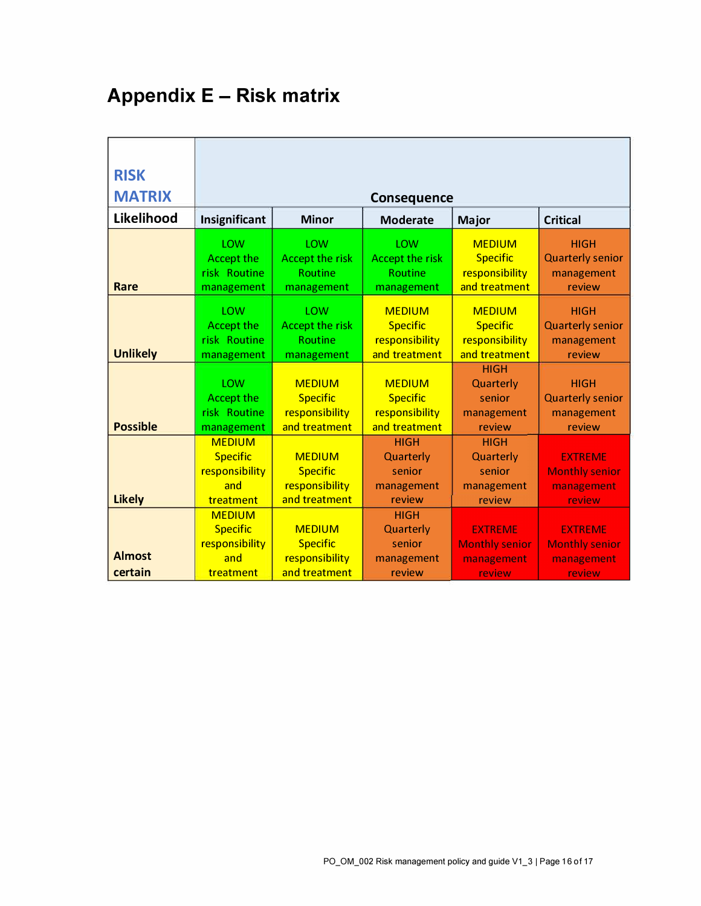# **Appendix E - Risk matrix**

| <b>RISK</b>              |                                                                        |                                                                      |                                                                     |                                                                     |                                                                        |
|--------------------------|------------------------------------------------------------------------|----------------------------------------------------------------------|---------------------------------------------------------------------|---------------------------------------------------------------------|------------------------------------------------------------------------|
| <b>MATRIX</b>            |                                                                        |                                                                      | <b>Consequence</b>                                                  |                                                                     |                                                                        |
| Likelihood               | Insignificant                                                          | <b>Minor</b>                                                         | <b>Moderate</b>                                                     | Major                                                               | <b>Critical</b>                                                        |
| Rare                     | LOW<br><b>Accept the</b><br>risk Routine<br>management                 | LOW<br><b>Accept the risk</b><br><b>Routine</b><br>management        | LOW<br><b>Accept the risk</b><br><b>Routine</b><br>management       | <b>MEDIUM</b><br><b>Specific</b><br>responsibility<br>and treatment | <b>HIGH</b><br><b>Quarterly senior</b><br>management<br>review         |
| <b>Unlikely</b>          | <b>LOW</b><br><b>Accept the</b><br>risk Routine<br>management          | <b>LOW</b><br><b>Accept the risk</b><br><b>Routine</b><br>management | <b>MEDIUM</b><br><b>Specific</b><br>responsibility<br>and treatment | <b>MEDIUM</b><br><b>Specific</b><br>responsibility<br>and treatment | <b>HIGH</b><br><b>Quarterly senior</b><br>management<br>review         |
| <b>Possible</b>          | <b>LOW</b><br><b>Accept the</b><br>risk Routine<br>management          | <b>MEDIUM</b><br><b>Specific</b><br>responsibility<br>and treatment  | <b>MEDIUM</b><br><b>Specific</b><br>responsibility<br>and treatment | <b>HIGH</b><br>Quarterly<br>senior<br>management<br>review          | <b>HIGH</b><br><b>Quarterly senior</b><br>management<br>review         |
| <b>Likely</b>            | <b>MEDIUM</b><br><b>Specific</b><br>responsibility<br>and<br>treatment | <b>MEDIUM</b><br><b>Specific</b><br>responsibility<br>and treatment  | <b>HIGH</b><br>Quarterly<br>senior<br>management<br>review          | <b>HIGH</b><br>Quarterly<br>senior<br>management<br>review          | <b>EXTREME</b><br><b>Monthly senior</b><br>management<br><b>review</b> |
| <b>Almost</b><br>certain | <b>MEDIUM</b><br><b>Specific</b><br>responsibility<br>and<br>treatment | <b>MEDIUM</b><br><b>Specific</b><br>responsibility<br>and treatment  | <b>HIGH</b><br>Quarterly<br>senior<br>management<br>review          | <b>EXTREME</b><br><b>Monthly senior</b><br>management<br>review     | <b>EXTREME</b><br><b>Monthly senior</b><br>management<br>review        |